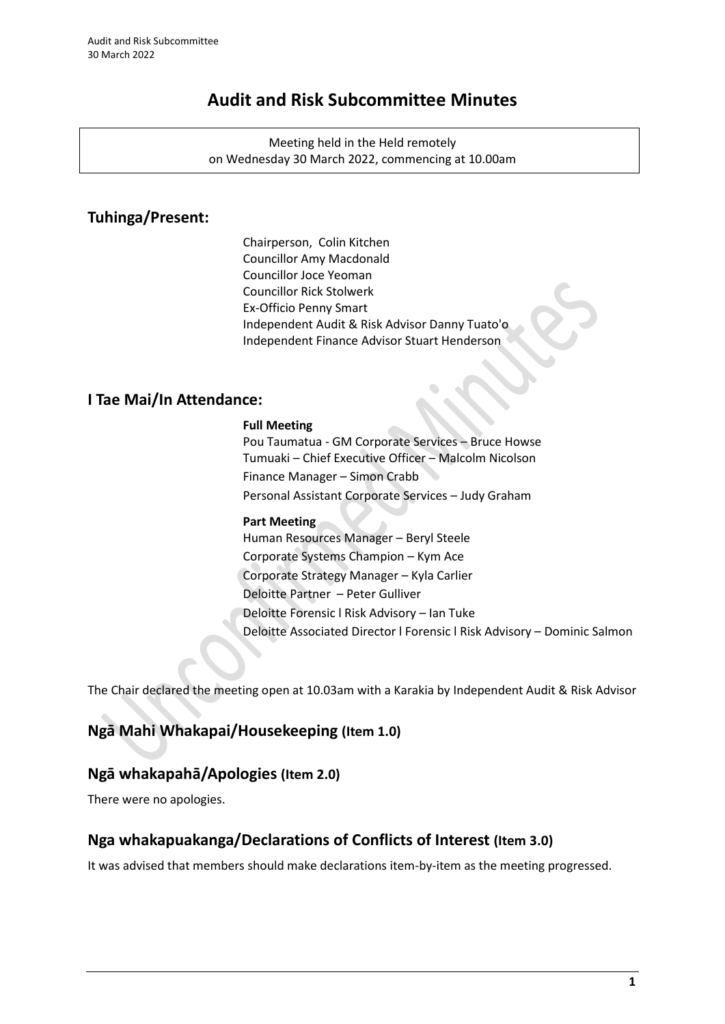# **Audit and Risk Subcommittee Minutes**

Meeting held in the Held remotely on Wednesday 30 March 2022, commencing at 10.00am

# **Tuhinga/Present:**

Chairperson, Colin Kitchen Councillor Amy Macdonald Councillor Joce Yeoman Councillor Rick Stolwerk Ex-Officio Penny Smart Independent Audit & Risk Advisor Danny Tuato'o Independent Finance Advisor Stuart Henderson

# **I Tae Mai/In Attendance:**

# **Full Meeting**

Pou Taumatua - GM Corporate Services – Bruce Howse Tumuaki – Chief Executive Officer – Malcolm Nicolson Finance Manager – Simon Crabb Personal Assistant Corporate Services – Judy Graham

# **Part Meeting**

Human Resources Manager – Beryl Steele Corporate Systems Champion – Kym Ace Corporate Strategy Manager – Kyla Carlier Deloitte Partner – Peter Gulliver Deloitte Forensic l Risk Advisory – Ian Tuke Deloitte Associated Director l Forensic l Risk Advisory – Dominic Salmon

The Chair declared the meeting open at 10.03am with a Karakia by Independent Audit & Risk Advisor

# **Ngā Mahi Whakapai/Housekeeping (Item 1.0)**

# **Ngā whakapahā/Apologies (Item 2.0)**

There were no apologies.

# **Nga whakapuakanga/Declarations of Conflicts of Interest (Item 3.0)**

It was advised that members should make declarations item-by-item as the meeting progressed.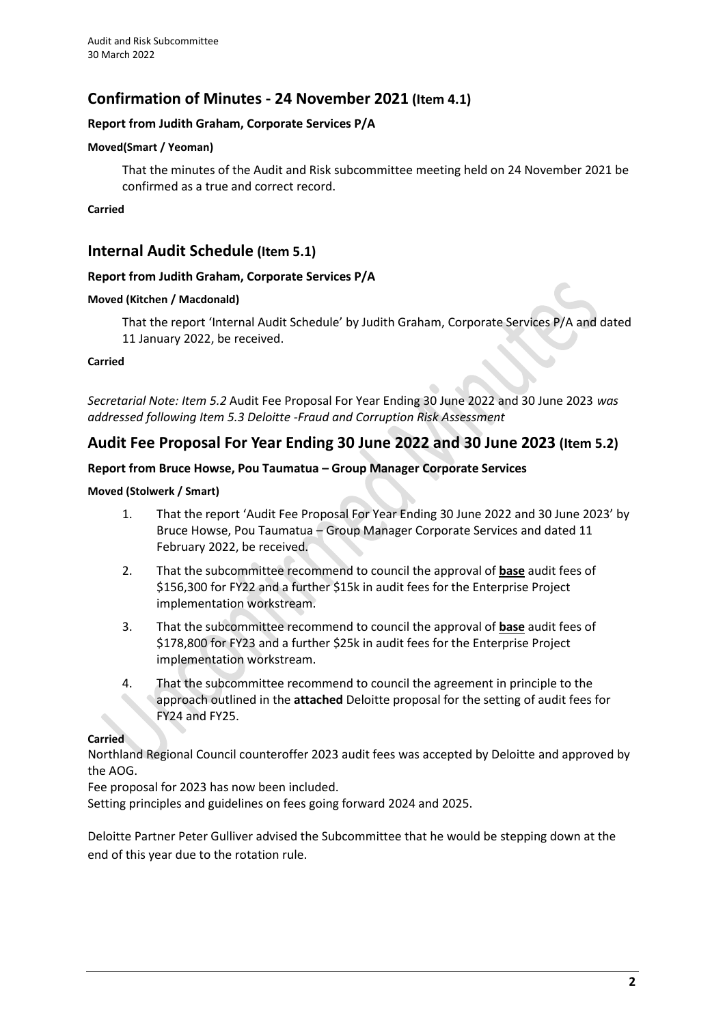# **Confirmation of Minutes - 24 November 2021 (Item 4.1)**

# **Report from Judith Graham, Corporate Services P/A**

### **Moved(Smart / Yeoman)**

That the minutes of the Audit and Risk subcommittee meeting held on 24 November 2021 be confirmed as a true and correct record.

# **Carried**

# **Internal Audit Schedule (Item 5.1)**

# **Report from Judith Graham, Corporate Services P/A**

#### **Moved (Kitchen / Macdonald)**

That the report 'Internal Audit Schedule' by Judith Graham, Corporate Services P/A and dated 11 January 2022, be received.

#### **Carried**

*Secretarial Note: Item 5.2* Audit Fee Proposal For Year Ending 30 June 2022 and 30 June 2023 *was addressed following Item 5.3 Deloitte -Fraud and Corruption Risk Assessment*

# **Audit Fee Proposal For Year Ending 30 June 2022 and 30 June 2023 (Item 5.2)**

# **Report from Bruce Howse, Pou Taumatua – Group Manager Corporate Services**

# **Moved (Stolwerk / Smart)**

- 1. That the report 'Audit Fee Proposal For Year Ending 30 June 2022 and 30 June 2023' by Bruce Howse, Pou Taumatua – Group Manager Corporate Services and dated 11 February 2022, be received.
- 2. That the subcommittee recommend to council the approval of **base** audit fees of \$156,300 for FY22 and a further \$15k in audit fees for the Enterprise Project implementation workstream.
- 3. That the subcommittee recommend to council the approval of **base** audit fees of \$178,800 for FY23 and a further \$25k in audit fees for the Enterprise Project implementation workstream.
- 4. That the subcommittee recommend to council the agreement in principle to the approach outlined in the **attached** Deloitte proposal for the setting of audit fees for FY24 and FY25.

# **Carried**

Northland Regional Council counteroffer 2023 audit fees was accepted by Deloitte and approved by the AOG.

Fee proposal for 2023 has now been included.

Setting principles and guidelines on fees going forward 2024 and 2025.

Deloitte Partner Peter Gulliver advised the Subcommittee that he would be stepping down at the end of this year due to the rotation rule.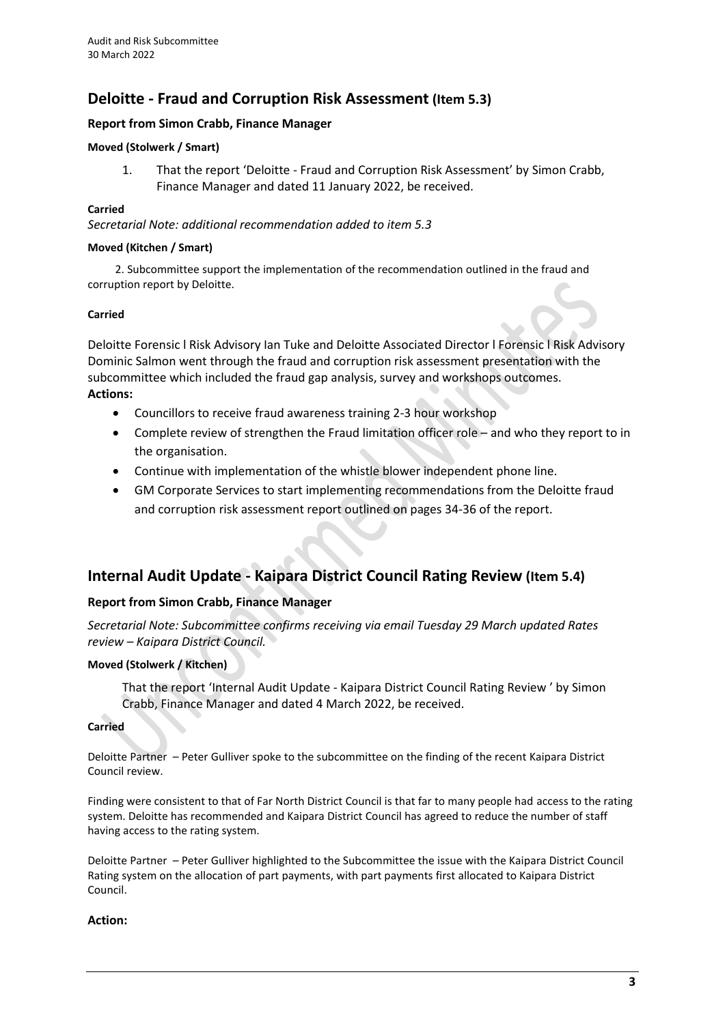# **Deloitte - Fraud and Corruption Risk Assessment (Item 5.3)**

# **Report from Simon Crabb, Finance Manager**

# **Moved (Stolwerk / Smart)**

1. That the report 'Deloitte - Fraud and Corruption Risk Assessment' by Simon Crabb, Finance Manager and dated 11 January 2022, be received.

### **Carried**

*Secretarial Note: additional recommendation added to item 5.3*

#### **Moved (Kitchen / Smart)**

2. Subcommittee support the implementation of the recommendation outlined in the fraud and corruption report by Deloitte.

#### **Carried**

Deloitte Forensic l Risk Advisory Ian Tuke and Deloitte Associated Director l Forensic l Risk Advisory Dominic Salmon went through the fraud and corruption risk assessment presentation with the subcommittee which included the fraud gap analysis, survey and workshops outcomes. **Actions:**

- Councillors to receive fraud awareness training 2-3 hour workshop
- Complete review of strengthen the Fraud limitation officer role and who they report to in the organisation.
- Continue with implementation of the whistle blower independent phone line.
- GM Corporate Services to start implementing recommendations from the Deloitte fraud and corruption risk assessment report outlined on pages 34-36 of the report.

# **Internal Audit Update - Kaipara District Council Rating Review (Item 5.4)**

# **Report from Simon Crabb, Finance Manager**

*Secretarial Note: Subcommittee confirms receiving via email Tuesday 29 March updated Rates review – Kaipara District Council.* 

# **Moved (Stolwerk / Kitchen)**

That the report 'Internal Audit Update - Kaipara District Council Rating Review ' by Simon Crabb, Finance Manager and dated 4 March 2022, be received.

### **Carried**

Deloitte Partner – Peter Gulliver spoke to the subcommittee on the finding of the recent Kaipara District Council review.

Finding were consistent to that of Far North District Council is that far to many people had access to the rating system. Deloitte has recommended and Kaipara District Council has agreed to reduce the number of staff having access to the rating system.

Deloitte Partner – Peter Gulliver highlighted to the Subcommittee the issue with the Kaipara District Council Rating system on the allocation of part payments, with part payments first allocated to Kaipara District Council.

# **Action:**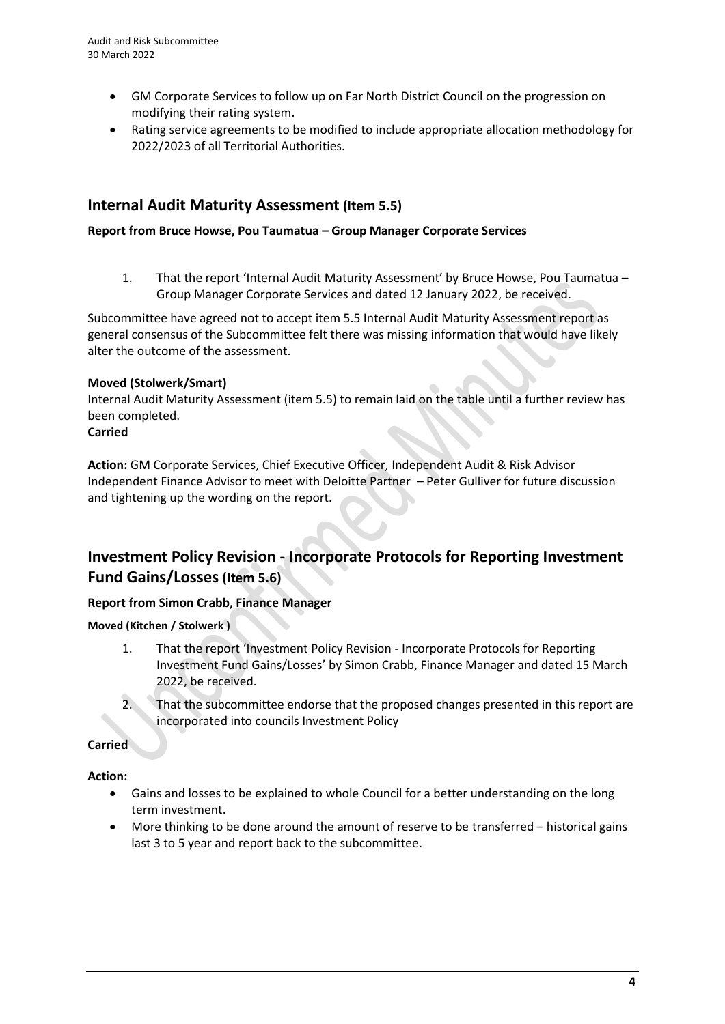- GM Corporate Services to follow up on Far North District Council on the progression on modifying their rating system.
- Rating service agreements to be modified to include appropriate allocation methodology for 2022/2023 of all Territorial Authorities.

# **Internal Audit Maturity Assessment (Item 5.5)**

# **Report from Bruce Howse, Pou Taumatua – Group Manager Corporate Services**

1. That the report 'Internal Audit Maturity Assessment' by Bruce Howse, Pou Taumatua – Group Manager Corporate Services and dated 12 January 2022, be received.

Subcommittee have agreed not to accept item 5.5 Internal Audit Maturity Assessment report as general consensus of the Subcommittee felt there was missing information that would have likely alter the outcome of the assessment.

# **Moved (Stolwerk/Smart)**

Internal Audit Maturity Assessment (item 5.5) to remain laid on the table until a further review has been completed.

# **Carried**

**Action:** GM Corporate Services, Chief Executive Officer, Independent Audit & Risk Advisor Independent Finance Advisor to meet with Deloitte Partner – Peter Gulliver for future discussion and tightening up the wording on the report.

# **Investment Policy Revision - Incorporate Protocols for Reporting Investment Fund Gains/Losses (Item 5.6)**

# **Report from Simon Crabb, Finance Manager**

**Moved (Kitchen / Stolwerk )**

- 1. That the report 'Investment Policy Revision Incorporate Protocols for Reporting Investment Fund Gains/Losses' by Simon Crabb, Finance Manager and dated 15 March 2022, be received.
- 2. That the subcommittee endorse that the proposed changes presented in this report are incorporated into councils Investment Policy

**Carried**

**Action:** 

- Gains and losses to be explained to whole Council for a better understanding on the long term investment.
- More thinking to be done around the amount of reserve to be transferred historical gains last 3 to 5 year and report back to the subcommittee.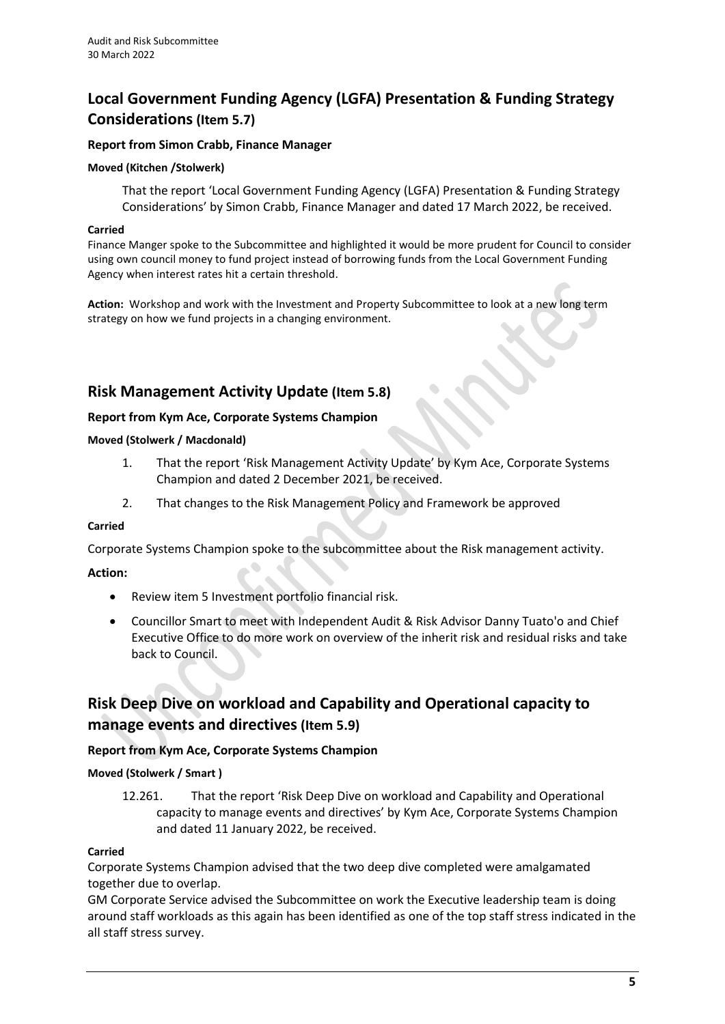# **Local Government Funding Agency (LGFA) Presentation & Funding Strategy Considerations (Item 5.7)**

# **Report from Simon Crabb, Finance Manager**

### **Moved (Kitchen /Stolwerk)**

That the report 'Local Government Funding Agency (LGFA) Presentation & Funding Strategy Considerations' by Simon Crabb, Finance Manager and dated 17 March 2022, be received.

#### **Carried**

Finance Manger spoke to the Subcommittee and highlighted it would be more prudent for Council to consider using own council money to fund project instead of borrowing funds from the Local Government Funding Agency when interest rates hit a certain threshold.

**Action:** Workshop and work with the Investment and Property Subcommittee to look at a new long term strategy on how we fund projects in a changing environment.

# **Risk Management Activity Update (Item 5.8)**

# **Report from Kym Ace, Corporate Systems Champion**

#### **Moved (Stolwerk / Macdonald)**

- 1. That the report 'Risk Management Activity Update' by Kym Ace, Corporate Systems Champion and dated 2 December 2021, be received.
- 2. That changes to the Risk Management Policy and Framework be approved

# **Carried**

Corporate Systems Champion spoke to the subcommittee about the Risk management activity.

# **Action:**

- Review item 5 Investment portfolio financial risk.
- Councillor Smart to meet with Independent Audit & Risk Advisor Danny Tuato'o and Chief Executive Office to do more work on overview of the inherit risk and residual risks and take back to Council.

# **Risk Deep Dive on workload and Capability and Operational capacity to manage events and directives(Item 5.9)**

# **Report from Kym Ace, Corporate Systems Champion**

# **Moved (Stolwerk / Smart )**

12.261. That the report 'Risk Deep Dive on workload and Capability and Operational capacity to manage events and directives' by Kym Ace, Corporate Systems Champion and dated 11 January 2022, be received.

# **Carried**

Corporate Systems Champion advised that the two deep dive completed were amalgamated together due to overlap.

GM Corporate Service advised the Subcommittee on work the Executive leadership team is doing around staff workloads as this again has been identified as one of the top staff stress indicated in the all staff stress survey.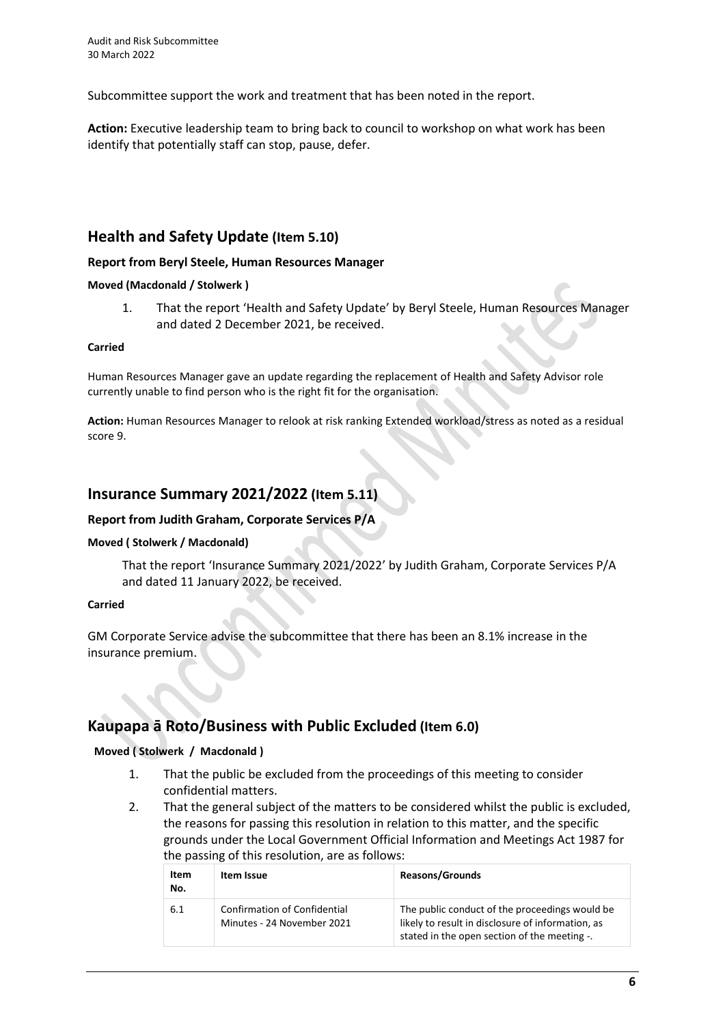Subcommittee support the work and treatment that has been noted in the report.

**Action:** Executive leadership team to bring back to council to workshop on what work has been identify that potentially staff can stop, pause, defer.

# **Health and Safety Update (Item 5.10)**

# **Report from Beryl Steele, Human Resources Manager**

# **Moved (Macdonald / Stolwerk )**

1. That the report 'Health and Safety Update' by Beryl Steele, Human Resources Manager and dated 2 December 2021, be received.

#### **Carried**

Human Resources Manager gave an update regarding the replacement of Health and Safety Advisor role currently unable to find person who is the right fit for the organisation.

**Action:** Human Resources Manager to relook at risk ranking Extended workload/stress as noted as a residual score 9.

# **Insurance Summary 2021/2022 (Item 5.11)**

# **Report from Judith Graham, Corporate Services P/A**

# **Moved ( Stolwerk / Macdonald)**

That the report 'Insurance Summary 2021/2022' by Judith Graham, Corporate Services P/A and dated 11 January 2022, be received.

# **Carried**

GM Corporate Service advise the subcommittee that there has been an 8.1% increase in the insurance premium.

# **Kaupapa ā Roto/Business with Public Excluded (Item 6.0)**

# **Moved ( Stolwerk / Macdonald )**

- 1. That the public be excluded from the proceedings of this meeting to consider confidential matters.
- 2. That the general subject of the matters to be considered whilst the public is excluded, the reasons for passing this resolution in relation to this matter, and the specific grounds under the Local Government Official Information and Meetings Act 1987 for the passing of this resolution, are as follows:

| Item<br>No. | Item Issue                                                        | <b>Reasons/Grounds</b>                                                                                                                              |
|-------------|-------------------------------------------------------------------|-----------------------------------------------------------------------------------------------------------------------------------------------------|
| 6.1         | <b>Confirmation of Confidential</b><br>Minutes - 24 November 2021 | The public conduct of the proceedings would be<br>likely to result in disclosure of information, as<br>stated in the open section of the meeting -. |